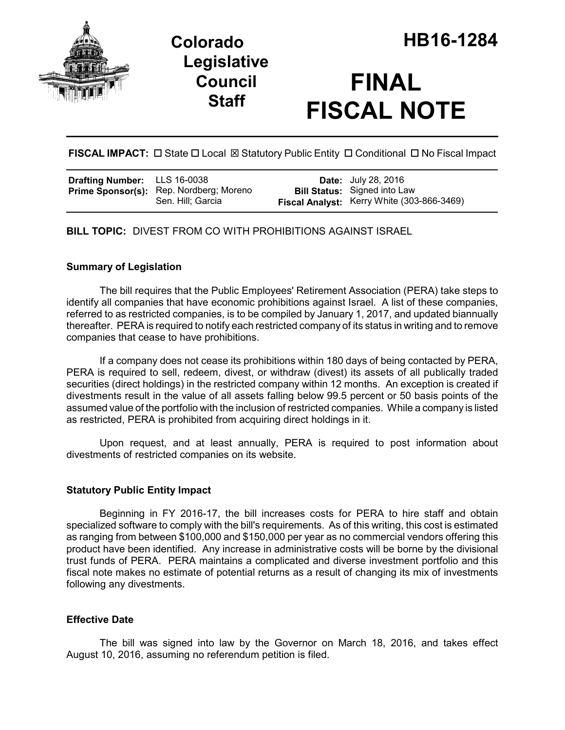



# **FINAL FISCAL NOTE**

**FISCAL IMPACT:**  $\Box$  State  $\Box$  Local  $\boxtimes$  Statutory Public Entity  $\Box$  Conditional  $\Box$  No Fiscal Impact

| <b>Drafting Number:</b> LLS 16-0038 |                                                                     | <b>Date:</b> July 28, 2016                                                        |
|-------------------------------------|---------------------------------------------------------------------|-----------------------------------------------------------------------------------|
|                                     | <b>Prime Sponsor(s):</b> Rep. Nordberg; Moreno<br>Sen. Hill: Garcia | <b>Bill Status:</b> Signed into Law<br>Fiscal Analyst: Kerry White (303-866-3469) |

**BILL TOPIC:** DIVEST FROM CO WITH PROHIBITIONS AGAINST ISRAEL

#### **Summary of Legislation**

The bill requires that the Public Employees' Retirement Association (PERA) take steps to identify all companies that have economic prohibitions against Israel. A list of these companies, referred to as restricted companies, is to be compiled by January 1, 2017, and updated biannually thereafter. PERA is required to notify each restricted company of its status in writing and to remove companies that cease to have prohibitions.

If a company does not cease its prohibitions within 180 days of being contacted by PERA, PERA is required to sell, redeem, divest, or withdraw (divest) its assets of all publically traded securities (direct holdings) in the restricted company within 12 months. An exception is created if divestments result in the value of all assets falling below 99.5 percent or 50 basis points of the assumed value of the portfolio with the inclusion of restricted companies. While a company is listed as restricted, PERA is prohibited from acquiring direct holdings in it.

Upon request, and at least annually, PERA is required to post information about divestments of restricted companies on its website.

#### **Statutory Public Entity Impact**

Beginning in FY 2016-17, the bill increases costs for PERA to hire staff and obtain specialized software to comply with the bill's requirements. As of this writing, this cost is estimated as ranging from between \$100,000 and \$150,000 per year as no commercial vendors offering this product have been identified. Any increase in administrative costs will be borne by the divisional trust funds of PERA. PERA maintains a complicated and diverse investment portfolio and this fiscal note makes no estimate of potential returns as a result of changing its mix of investments following any divestments.

## **Effective Date**

The bill was signed into law by the Governor on March 18, 2016, and takes effect August 10, 2016, assuming no referendum petition is filed.